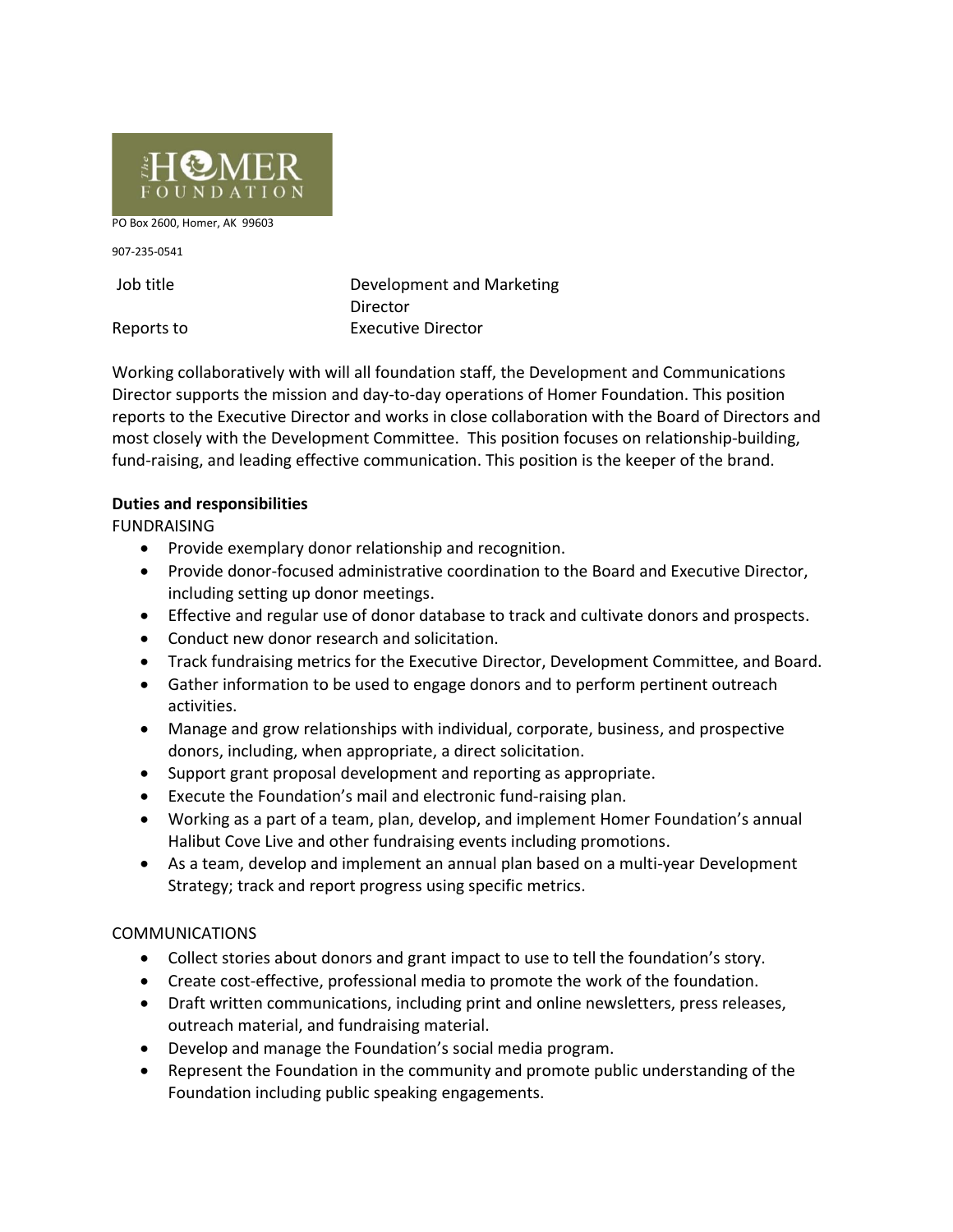

PO Box 2600, Homer, AK 99603

907-235-0541

Job title Development and Marketing **Director** Reports to **Executive Director** 

Working collaboratively with will all foundation staff, the Development and Communications Director supports the mission and day-to-day operations of Homer Foundation. This position reports to the Executive Director and works in close collaboration with the Board of Directors and most closely with the Development Committee. This position focuses on relationship-building, fund-raising, and leading effective communication. This position is the keeper of the brand.

## **Duties and responsibilities**

FUNDRAISING

- Provide exemplary donor relationship and recognition.
- Provide donor-focused administrative coordination to the Board and Executive Director, including setting up donor meetings.
- Effective and regular use of donor database to track and cultivate donors and prospects.
- Conduct new donor research and solicitation.
- Track fundraising metrics for the Executive Director, Development Committee, and Board.
- Gather information to be used to engage donors and to perform pertinent outreach activities.
- Manage and grow relationships with individual, corporate, business, and prospective donors, including, when appropriate, a direct solicitation.
- Support grant proposal development and reporting as appropriate.
- Execute the Foundation's mail and electronic fund-raising plan.
- Working as a part of a team, plan, develop, and implement Homer Foundation's annual Halibut Cove Live and other fundraising events including promotions.
- As a team, develop and implement an annual plan based on a multi-year Development Strategy; track and report progress using specific metrics.

# COMMUNICATIONS

- Collect stories about donors and grant impact to use to tell the foundation's story.
- Create cost-effective, professional media to promote the work of the foundation.
- Draft written communications, including print and online newsletters, press releases, outreach material, and fundraising material.
- Develop and manage the Foundation's social media program.
- Represent the Foundation in the community and promote public understanding of the Foundation including public speaking engagements.